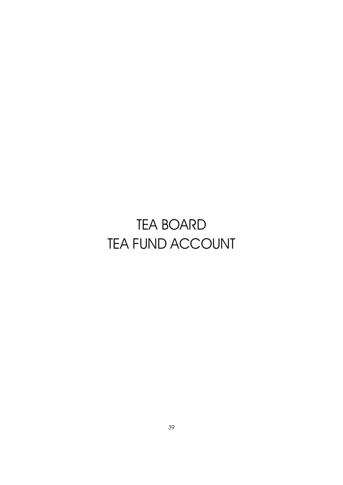# TEA BOARD TEA FUND ACCOUNT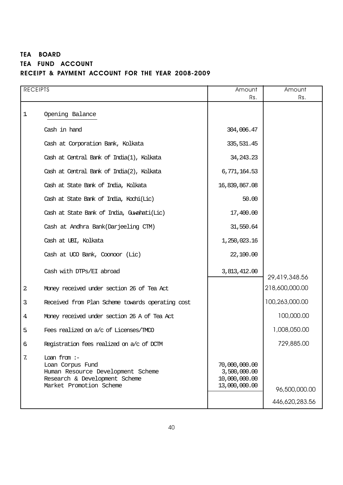### TEA BOARD TEA FUND ACCOUNT RECEIPT & PAYMENT ACCOUNT FOR THE YEAR 2008-2009

| <b>RECEIPTS</b> |                                                                                                                                     | Amount<br>Rs.                                                   | Amount<br>Rs.                   |
|-----------------|-------------------------------------------------------------------------------------------------------------------------------------|-----------------------------------------------------------------|---------------------------------|
| 1               | Opening Balance                                                                                                                     |                                                                 |                                 |
|                 | Cash in hand                                                                                                                        | 304,006.47                                                      |                                 |
|                 | Cash at Corporation Bank, Kolkata                                                                                                   | 335,531.45                                                      |                                 |
|                 | Cash at Central Bank of India(1), Kolkata                                                                                           | 34, 243. 23                                                     |                                 |
|                 | Cash at Central Bank of India(2), Kolkata                                                                                           | 6,771,164.53                                                    |                                 |
|                 | Cash at State Bank of India, Kolkata                                                                                                | 16,839,867.08                                                   |                                 |
|                 | Cash at State Bank of India, Kochi(Lic)                                                                                             | 50.00                                                           |                                 |
|                 | Cash at State Bank of India, Guwahati(Lic)                                                                                          | 17,400.00                                                       |                                 |
|                 | Cash at Andhra Bank(Darjeeling CTM)                                                                                                 | 31,550.64                                                       |                                 |
|                 | Cash at UBI, Kolkata                                                                                                                | 1,250,023.16                                                    |                                 |
|                 | Cash at UCO Bank, Coonoor (Lic)                                                                                                     | 22,100.00                                                       |                                 |
|                 | Cash with DTPs/EI abroad                                                                                                            | 3,813,412.00                                                    | 29,419,348.56                   |
| $\mathbf 2$     | Money received under section 26 of Tea Act                                                                                          |                                                                 | 218,600,000.00                  |
| 3               | Received from Plan Scheme towards operating cost                                                                                    |                                                                 | 100,263,000.00                  |
| 4               | Money received under section 26 A of Tea Act                                                                                        |                                                                 | 100,000.00                      |
| 5               | Fees realized on a/c of Licenses/TMCO                                                                                               |                                                                 | 1,008,050.00                    |
| $\epsilon$      | Registration fees realized on a/c of DCIM                                                                                           |                                                                 | 729,885.00                      |
| 7.              | Loan from $:-$<br>Loan Corpus Fund<br>Human Resource Development Scheme<br>Research & Development Scheme<br>Market Promotion Scheme | 70,000,000.00<br>3,500,000.00<br>10,000,000.00<br>13,000,000.00 | 96,500,000.00<br>446,620,283.56 |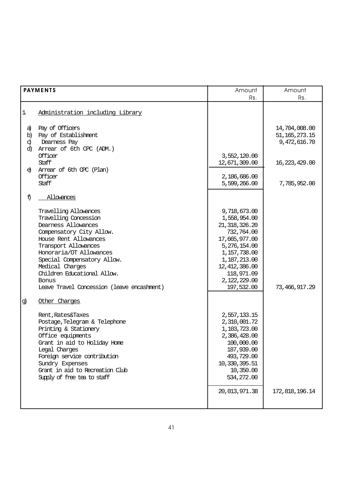|                     | <b>PAYMENTS</b>                                                                                                                                                                                                                                                                                                                        | Amount<br>Rs.                                                                                                                                                                                 | Amount<br>Rs.                                     |
|---------------------|----------------------------------------------------------------------------------------------------------------------------------------------------------------------------------------------------------------------------------------------------------------------------------------------------------------------------------------|-----------------------------------------------------------------------------------------------------------------------------------------------------------------------------------------------|---------------------------------------------------|
| 1                   | Administration including Library                                                                                                                                                                                                                                                                                                       |                                                                                                                                                                                               |                                                   |
| a)<br>b)<br>d<br>d) | Pay of Officers<br>Pay of Establishment<br>Dearness Pay<br>Arrear of 6th CPC (ADM.)<br>Officer                                                                                                                                                                                                                                         | 3,552,120.00                                                                                                                                                                                  | 14,704,008.00<br>51, 165, 273. 15<br>9,472,616.70 |
| $\Theta$            | Staff<br>Arrear of 6th CPC (Plan)<br>Officer<br>Staff                                                                                                                                                                                                                                                                                  | 12,671,309.00<br>2,186,686.00<br>5,599,266.00                                                                                                                                                 | 16,223,429.00<br>7,785,952.00                     |
| f                   | Allowances                                                                                                                                                                                                                                                                                                                             |                                                                                                                                                                                               |                                                   |
| g)                  | Travelling Allowances<br>Travelling Concession<br>Dearness Allowances<br>Compensatory City Allow.<br>House Rent Allowances<br>Transport Allowances<br>Honoraria/OT Allowances<br>Special Compensatory Allow.<br>Medical Charges<br>Children Educational Allow.<br>Bonus<br>Leave Travel Concession (leave encashment)<br>Other Charges | 9,718,673.00<br>1,558,954.00<br>21, 318, 326.20<br>732,764.00<br>17,665,977.00<br>5,276,154.00<br>1,157,738.00<br>1,187,213.00<br>12, 412, 386.00<br>118,971.09<br>2,122,229.00<br>197,532.00 | 73, 466, 917.29                                   |
|                     | Rent, Rates&Taxes<br>Postage, Telegram & Telephone<br>Printing & Stationery<br>Office equipments<br>Grant in aid to Holiday Home<br>Legal Charges<br>Foreign service contribution<br>Sundry Expenses<br>Grant in aid to Recreation Club<br>Supply of free tea to staff                                                                 | 2,557,133.15<br>2,310,001.72<br>1,103,723.00<br>2,386,428.00<br>100,000.00<br>187,939.00<br>493,729.00<br>10,330,395.51<br>10,350.00<br>534,272.00<br>20,013,971.38                           | 172,818,196.14                                    |
|                     |                                                                                                                                                                                                                                                                                                                                        |                                                                                                                                                                                               |                                                   |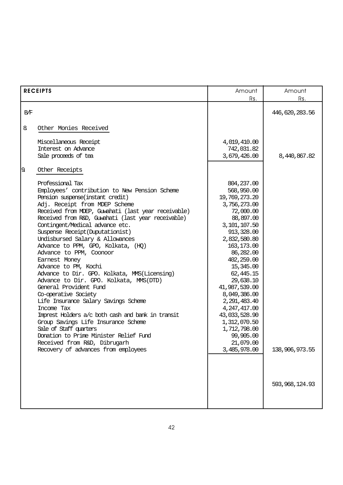|     | <b>RECEIPTS</b>                                     | Amount         | Amount           |  |
|-----|-----------------------------------------------------|----------------|------------------|--|
|     |                                                     | Rs.            | Rs.              |  |
| B/F |                                                     |                | 446,620,283.56   |  |
|     |                                                     |                |                  |  |
| 8   | Other Monies Received                               |                |                  |  |
|     |                                                     |                |                  |  |
|     | Miscellaneous Receipt                               | 4,019,410.00   |                  |  |
|     | Interest on Advance                                 | 742,031.82     |                  |  |
|     | Sale proceeds of tea                                | 3,679,426.00   | 8,440,867.82     |  |
| 9.  | Other Receipts                                      |                |                  |  |
|     |                                                     |                |                  |  |
|     | Professional Tax                                    | 804, 237.00    |                  |  |
|     | Employees' contribution to New Pension Scheme       | 568,950.00     |                  |  |
|     | Pension suspense(instant credit)                    | 19,769,273.20  |                  |  |
|     | Adj. Receipt from MDEP Scheme                       | 3,756,273.00   |                  |  |
|     | Received from MDEP, Guwahati (last year receivable) | 72,000.00      |                  |  |
|     | Received from R&D, Guwahati (last year receivable)  | 88,897.00      |                  |  |
|     | Contingent/Medical advance etc.                     | 3,101,107.50   |                  |  |
|     | Suspense Receipt (Duputationist)                    | 913,328.00     |                  |  |
|     | Undisbursed Salary & Allowances                     | 2,832,580.80   |                  |  |
|     | Advance to PPM, GPO, Kolkata, (HQ)                  | 163,173.00     |                  |  |
|     | Advance to PPM, Coonoor                             | 86,282.00      |                  |  |
|     | Earnest Money                                       | 402,259.00     |                  |  |
|     | Advance to PM, Kochi                                | 15,345.00      |                  |  |
|     | Advance to Dir. GPO. Kolkata, MMS(Licensing)        | 62,445.15      |                  |  |
|     | Advance to Dir. GPO. Kolkata, MMS(DTD)              | 29,638.10      |                  |  |
|     | General Provident Fund                              | 41,987,539.00  |                  |  |
|     | Co-operative Society                                | 8,049,386.00   |                  |  |
|     | Life Insurance Salary Savings Scheme                | 2,291,483.40   |                  |  |
|     | Income Tax                                          | 4, 247, 417.00 |                  |  |
|     | Imprest Holders a/c both cash and bank in transit   | 43,033,528.90  |                  |  |
|     | Group Savings Life Insurance Scheme                 | 1,312,070.50   |                  |  |
|     | Sale of Staff guarters                              | 1,712,798.00   |                  |  |
|     | Donation to Prime Minister Relief Fund              | 99,905.00      |                  |  |
|     | Received from R&D, Dibrugarh                        | 21,079.00      |                  |  |
|     | Recovery of advances from employees                 | 3,485,978.00   | 138,906,973.55   |  |
|     |                                                     |                |                  |  |
|     |                                                     |                |                  |  |
|     |                                                     |                |                  |  |
|     |                                                     |                |                  |  |
|     |                                                     |                | 593, 968, 124.93 |  |
|     |                                                     |                |                  |  |
|     |                                                     |                |                  |  |
|     |                                                     |                |                  |  |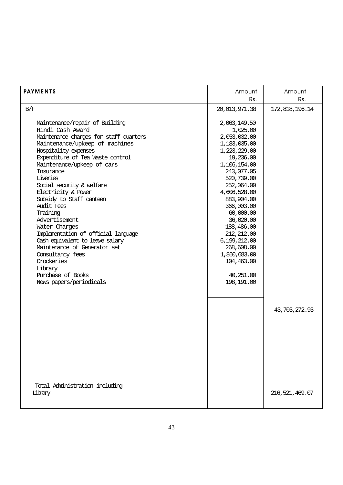| <b>PAYMENTS</b>                                                                                                                                                                                                                                                                                                                                                                                                                                                                                                                           | Amount                                                                                                                                                                                                                                                                                                         | Amount           |
|-------------------------------------------------------------------------------------------------------------------------------------------------------------------------------------------------------------------------------------------------------------------------------------------------------------------------------------------------------------------------------------------------------------------------------------------------------------------------------------------------------------------------------------------|----------------------------------------------------------------------------------------------------------------------------------------------------------------------------------------------------------------------------------------------------------------------------------------------------------------|------------------|
|                                                                                                                                                                                                                                                                                                                                                                                                                                                                                                                                           | Rs.                                                                                                                                                                                                                                                                                                            | Rs.              |
| B/F                                                                                                                                                                                                                                                                                                                                                                                                                                                                                                                                       | 20,013,971.38                                                                                                                                                                                                                                                                                                  | 172,818,196.14   |
| Maintenance/repair of Building<br>Hindi Cash Award<br>Maintenance charges for staff quarters<br>Maintenance/upkeep of machines<br>Hospitality expenses<br>Expenditure of Tea Waste control<br>Maintenance/upkeep of cars<br>Insurance<br>Liveries<br>Social security & welfare<br>Electricity & Power<br>Subsidy to Staff canteen<br>Audit Fees<br>Training<br>Advertisement<br>Water Charges<br>Implementation of official language<br>Cash equivalent to leave salary<br>Maintenance of Generator set<br>Consultancy fees<br>Crockeries | 2,063,149.50<br>1,025.00<br>2,053,032.00<br>1,183,035.00<br>1,223,229.00<br>19,236.00<br>1,106,154.00<br>243,077.05<br>520,739.00<br>252,064.00<br>4,606,528.00<br>883,904.00<br>366,003.00<br>60,000.00<br>36,020.00<br>188,486.00<br>212, 212.00<br>6,199,212.00<br>268,608.00<br>1,860,683.00<br>104,463.00 |                  |
| Library<br>Purchase of Books<br>News papers/periodicals                                                                                                                                                                                                                                                                                                                                                                                                                                                                                   | 40,251.00<br>198,191.00                                                                                                                                                                                                                                                                                        |                  |
| Total Administration including                                                                                                                                                                                                                                                                                                                                                                                                                                                                                                            |                                                                                                                                                                                                                                                                                                                | 43,703,272.93    |
| Library                                                                                                                                                                                                                                                                                                                                                                                                                                                                                                                                   |                                                                                                                                                                                                                                                                                                                | 216, 521, 469.07 |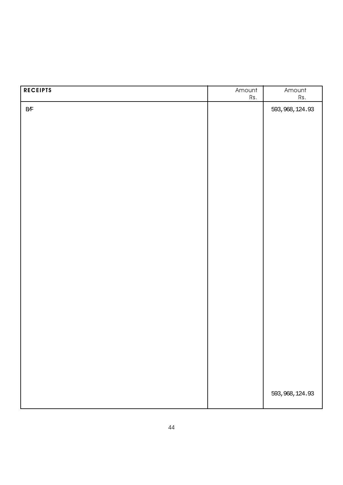| <b>RECEIPTS</b> | Amount<br>Rs. | Amount<br>Rs.    |
|-----------------|---------------|------------------|
| $\rm\,B\!/\!F$  |               | 593, 968, 124.93 |
|                 |               |                  |
|                 |               |                  |
|                 |               |                  |
|                 |               |                  |
|                 |               |                  |
|                 |               |                  |
|                 |               |                  |
|                 |               |                  |
|                 |               |                  |
|                 |               |                  |
|                 |               |                  |
|                 |               |                  |
|                 |               |                  |
|                 |               |                  |
|                 |               |                  |
|                 |               |                  |
|                 |               |                  |
|                 |               |                  |
|                 |               |                  |
|                 |               | 593, 968, 124.93 |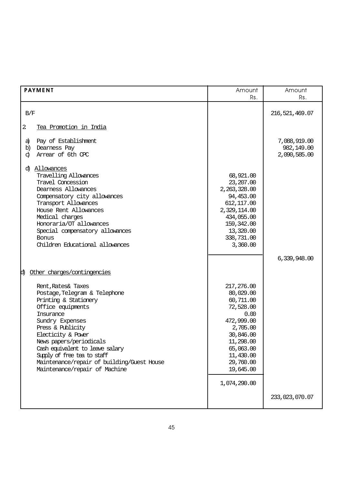| <b>PAYMENT</b>                                                                                                                                                                                                                                                                                                                                           | Amount<br>Rs.                                                                                                                                                                     | Amount<br>Rs.                              |
|----------------------------------------------------------------------------------------------------------------------------------------------------------------------------------------------------------------------------------------------------------------------------------------------------------------------------------------------------------|-----------------------------------------------------------------------------------------------------------------------------------------------------------------------------------|--------------------------------------------|
| B/F                                                                                                                                                                                                                                                                                                                                                      |                                                                                                                                                                                   | 216,521,469.07                             |
| $\mathbf{2}$<br>Tea Promotion in India                                                                                                                                                                                                                                                                                                                   |                                                                                                                                                                                   |                                            |
| Pay of Establishment<br>a)<br>Dearness Pay<br>b)<br>Arrear of 6th CPC<br>d                                                                                                                                                                                                                                                                               |                                                                                                                                                                                   | 7,088,919.00<br>982,149.00<br>2,090,585.00 |
| <u>Allowances</u><br>ď<br>Travelling Allowances<br>Travel Concession<br>Dearness Allowances<br>Compensatory city allowances<br>Transport Allowances<br>House Rent Allowances<br>Medical charges<br>Honoraria/OT allowances<br>Special compensatory allowances<br><b>Bonus</b><br>Children Educational allowances                                         | 68,921.00<br>23, 207.00<br>2, 263, 328.00<br>94,453.00<br>612, 117.00<br>2,329,114.00<br>434,055.00<br>159, 342.00<br>13,320.00<br>338,731.00<br>3,360.00                         |                                            |
| Other charges/contingencies<br>d)                                                                                                                                                                                                                                                                                                                        |                                                                                                                                                                                   | 6,339,948.00                               |
| Rent, Rates& Taxes<br>Postage, Telegram & Telephone<br>Printing & Stationery<br>Office equipments<br>Insurance<br>Sundry Expenses<br>Press & Publicity<br>Electicity & Power<br>News papers/periodicals<br>Cash equivalent to leave salary<br>Supply of free tea to staff<br>Maintenance/repair of building/Guest House<br>Maintenance/repair of Machine | 217,276.00<br>80,029.00<br>60,711.00<br>72,528.00<br>0.00<br>472,999.00<br>2,705.00<br>30,846.00<br>11,298.00<br>65,063.00<br>11,430.00<br>29,760.00<br>19,645.00<br>1,074,290.00 |                                            |
|                                                                                                                                                                                                                                                                                                                                                          |                                                                                                                                                                                   | 233,023,070.07                             |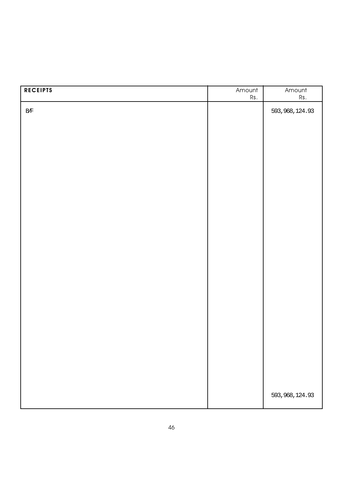| <b>RECEIPTS</b> | Amount<br>Rs. | Amount<br>$\mathsf{Rs}.$ |
|-----------------|---------------|--------------------------|
|                 |               |                          |
| $\rm\,B\!/\!F$  |               | 593, 968, 124.93         |
|                 |               |                          |
|                 |               |                          |
|                 |               |                          |
|                 |               |                          |
|                 |               |                          |
|                 |               |                          |
|                 |               |                          |
|                 |               |                          |
|                 |               |                          |
|                 |               |                          |
|                 |               |                          |
|                 |               |                          |
|                 |               |                          |
|                 |               |                          |
|                 |               |                          |
|                 |               |                          |
|                 |               |                          |
|                 |               |                          |
|                 |               |                          |
|                 |               |                          |
|                 |               |                          |
|                 |               |                          |
|                 |               |                          |
|                 |               |                          |
|                 |               | 593, 968, 124.93         |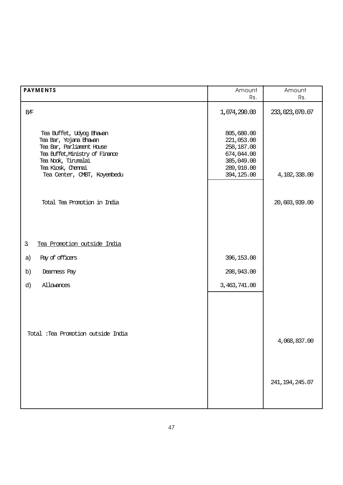| <b>PAYMENTS</b>                                                                                                                                                                                | Amount<br>Rs.                                                                                  | Amount<br>Rs.    |
|------------------------------------------------------------------------------------------------------------------------------------------------------------------------------------------------|------------------------------------------------------------------------------------------------|------------------|
| B/F                                                                                                                                                                                            | 1,074,290.00                                                                                   | 233,023,070.07   |
| Tea Buffet, Udyog Bhawan<br>Tea Bar, Yojana Bhawan<br>Tea Bar, Parliament House<br>Tea Buffet, Ministry of Finance<br>Tea Nook, Tinumalai<br>Tea Kiosk, Chennai<br>Tea Center, CMBT, Koyembedu | 805,680.00<br>221,053.00<br>258,187.00<br>674,044.00<br>385,049.00<br>289,910.00<br>394,125.00 | 4,102,338.00     |
| Total Tea Promotion in India                                                                                                                                                                   |                                                                                                | 20,603,939.00    |
| Tea Promotion outside India<br>3.                                                                                                                                                              |                                                                                                |                  |
| Pay of officers<br>a)                                                                                                                                                                          | 396,153.00                                                                                     |                  |
| b)<br>Deamess Pay                                                                                                                                                                              | 208,943.00                                                                                     |                  |
| Allowances<br>d)                                                                                                                                                                               | 3,463,741.00                                                                                   |                  |
| Total : Tea Promotion outside India                                                                                                                                                            |                                                                                                | 4,068,837.00     |
|                                                                                                                                                                                                |                                                                                                | 241, 194, 245.07 |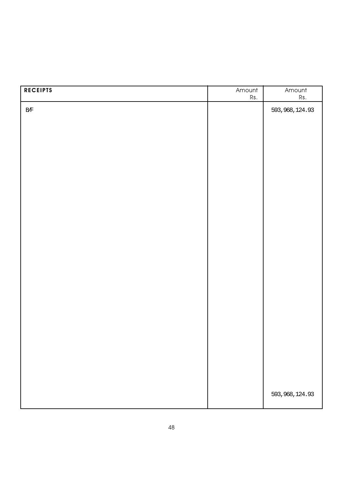| <b>RECEIPTS</b> | Amount<br>Rs. | Amount<br>Rs.    |
|-----------------|---------------|------------------|
| $\rm\,B\!/\!F$  |               | 593, 968, 124.93 |
|                 |               |                  |
|                 |               |                  |
|                 |               |                  |
|                 |               |                  |
|                 |               |                  |
|                 |               |                  |
|                 |               |                  |
|                 |               |                  |
|                 |               |                  |
|                 |               |                  |
|                 |               |                  |
|                 |               |                  |
|                 |               |                  |
|                 |               |                  |
|                 |               |                  |
|                 |               |                  |
|                 |               |                  |
|                 |               |                  |
|                 |               |                  |
|                 |               |                  |
|                 |               | 593, 968, 124.93 |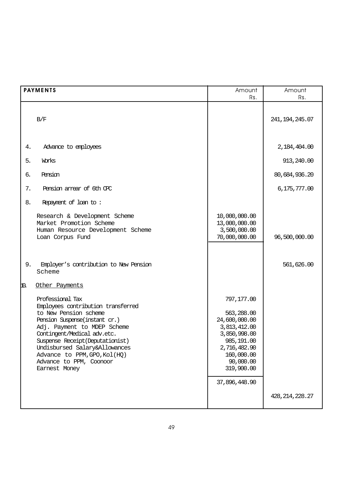|     | <b>PAYMENTS</b>                                                                                                                                                                                                                                                                                                                 | Amount<br>Rs.                                                                                                                                                     | Amount<br>Rs.     |
|-----|---------------------------------------------------------------------------------------------------------------------------------------------------------------------------------------------------------------------------------------------------------------------------------------------------------------------------------|-------------------------------------------------------------------------------------------------------------------------------------------------------------------|-------------------|
|     | B/F                                                                                                                                                                                                                                                                                                                             |                                                                                                                                                                   | 241, 194, 245.07  |
| 4.  | Advance to employees                                                                                                                                                                                                                                                                                                            |                                                                                                                                                                   | 2,184,404.00      |
| 5.  | Works                                                                                                                                                                                                                                                                                                                           |                                                                                                                                                                   | 913,240.00        |
| б.  | Pension                                                                                                                                                                                                                                                                                                                         |                                                                                                                                                                   | 80,684,936.20     |
| 7.  | Pension arrear of 6th CPC                                                                                                                                                                                                                                                                                                       |                                                                                                                                                                   | 6,175,777.00      |
| 8.  | Repayment of loan to:                                                                                                                                                                                                                                                                                                           |                                                                                                                                                                   |                   |
|     | Research & Development Scheme<br>Market Promotion Scheme<br>Human Resource Development Scheme<br>Loan Corpus Fund                                                                                                                                                                                                               | 10,000,000.00<br>13,000,000.00<br>3,500,000.00<br>70,000,000.00                                                                                                   | 96,500,000.00     |
| 9.  | Employer's contribution to New Pension<br>Scheme                                                                                                                                                                                                                                                                                |                                                                                                                                                                   | 561,626.00        |
| 10. | Other Payments                                                                                                                                                                                                                                                                                                                  |                                                                                                                                                                   |                   |
|     | Professional Tax<br>Employees contribution transferred<br>to New Pension scheme<br>Pension Suspense(instant cr.)<br>Adj. Payment to MDEP Scheme<br>Contingent/Medical adv.etc.<br>Suspense Receipt (Deputationist)<br>Undisbursed Salary&Allowances<br>Advance to PPM, GPO, Kol(HQ)<br>Advance to PPM, Coonoor<br>Earnest Money | 797,177.00<br>563,288.00<br>24,600,000.00<br>3,813,412.00<br>3,850,998.00<br>985,191.00<br>2,716,482.90<br>160,000.00<br>90,000.00<br>319,900.00<br>37,896,448.90 |                   |
|     |                                                                                                                                                                                                                                                                                                                                 |                                                                                                                                                                   | 428, 214, 228. 27 |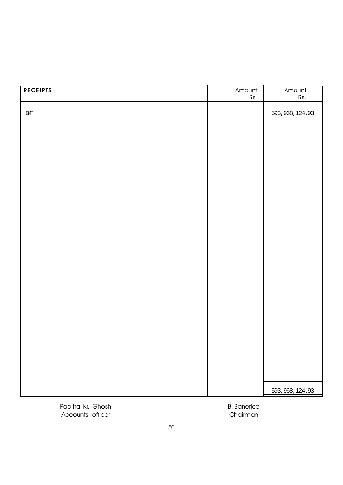| <b>RECEIPTS</b> | Amount<br>Rs. | Amount<br>Rs.    |
|-----------------|---------------|------------------|
| $\rm\,B\!/\!F$  |               | 593, 968, 124.93 |
|                 |               |                  |
|                 |               |                  |
|                 |               |                  |
|                 |               |                  |
|                 |               |                  |
|                 |               |                  |
|                 |               |                  |
|                 |               |                  |
|                 |               |                  |
|                 |               |                  |
|                 |               |                  |
|                 |               |                  |
|                 |               |                  |
|                 |               |                  |
|                 |               |                  |
|                 |               |                  |
|                 |               | 593, 968, 124.93 |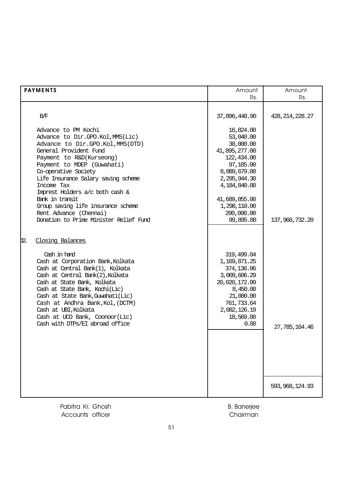| <b>PAYMENTS</b>                                                                                                                                                                                                                                                                                                                                                                                                              | Amount                                                                                                                                                                                      | Amount            |
|------------------------------------------------------------------------------------------------------------------------------------------------------------------------------------------------------------------------------------------------------------------------------------------------------------------------------------------------------------------------------------------------------------------------------|---------------------------------------------------------------------------------------------------------------------------------------------------------------------------------------------|-------------------|
|                                                                                                                                                                                                                                                                                                                                                                                                                              | Rs.                                                                                                                                                                                         | Rs.               |
| B/F                                                                                                                                                                                                                                                                                                                                                                                                                          | 37,896,448.90                                                                                                                                                                               | 428, 214, 228. 27 |
| Advance to PM Kochi<br>Advance to Dir.GPO.Kol, MMS(Lic)<br>Advance to Dir.GPO.Kol, MMS(DTD)<br>General Provident Fund<br>Payment to R&D(Kurseong)<br>Payment to MDEP (Guwahati)<br>Co-operative Society<br>Life Insurance Salary saving scheme<br>Income Tax<br>Imprest Holders a/c both cash &<br>Bank in transit<br>Group saving life insurance scheme<br>Rent Advance (Chennai)<br>Donation to Prime Minister Relief Fund | 16,824.00<br>53,040.00<br>30,000.00<br>41,895,277.00<br>122,434.00<br>97,185.00<br>8,089,679.00<br>2,295,944.30<br>4,184,840.00<br>41,689,055.00<br>1,298,110.00<br>200,000.00<br>99,895.00 | 137,968,732.20    |
| Closing Balances<br>12.                                                                                                                                                                                                                                                                                                                                                                                                      |                                                                                                                                                                                             |                   |
| Cash in hand<br>Cash at Corporation Bank, Kolkata<br>Cash at Central Bank(1), Kolkata<br>Cash at Central Bank(2), Kolkata<br>Cash at State Bank, Kolkata<br>Cash at State Bank, Kochi(Lic)<br>Cash at State Bank, Guwahati (Lic)<br>Cash at Andhra Bank, Kol, (DCTM)<br>Cash at UBI, Kolkata<br>Cash at UCO Bank, Coonoor(Lic)<br>Cash with DTPs/EI abroad office                                                            | 319,499.04<br>1,169,871.25<br>374,136.06<br>3,009,606.29<br>20,020,172.99<br>8,450.00<br>21,000.00<br>761,733.64<br>2,082,126.19<br>18,569.00<br>0.00                                       | 27,785,164.46     |
|                                                                                                                                                                                                                                                                                                                                                                                                                              |                                                                                                                                                                                             | 593, 968, 124.93  |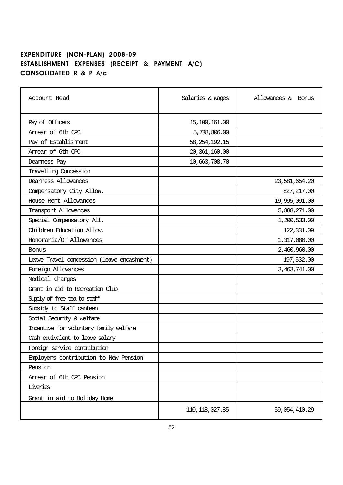#### EXPENDITURE (NON-PLAN) 2008-09 ESTABLISHMENT EXPENSES (RECEIPT & PAYMENT A/C) CONSOLIDATED R & P A/c

| Account Head                               | Salaries & wages | Allowances & Bonus |
|--------------------------------------------|------------------|--------------------|
| Pay of Officers                            | 15,100,161.00    |                    |
| Arrear of 6th CPC                          | 5,738,806.00     |                    |
| Pay of Establishment                       | 58, 254, 192. 15 |                    |
| Arrear of 6th CPC                          | 20, 361, 160.00  |                    |
| Dearness Pay                               | 10,663,708.70    |                    |
| Travelling Concession                      |                  |                    |
| Dearness Allowances                        |                  | 23,581,654.20      |
| Compensatory City Allow.                   |                  | 827, 217.00        |
| House Rent Allowances                      |                  | 19,995,091.00      |
| Transport Allowances                       |                  | 5,888,271.00       |
| Special Compensatory All.                  |                  | 1,200,533.00       |
| Children Education Allow.                  |                  | 122, 331.09        |
| Honoraria/OT Allowances                    |                  | 1,317,080.00       |
| Bonus                                      |                  | 2,460,960.00       |
| Leave Travel concession (leave encashment) |                  | 197,532.00         |
| Foreign Allowances                         |                  | 3,463,741.00       |
| Medical Charges                            |                  |                    |
| Grant in aid to Recreation Club            |                  |                    |
| Supply of free tea to staff                |                  |                    |
| Subsidy to Staff canteen                   |                  |                    |
| Social Security & welfare                  |                  |                    |
| Incentive for voluntary family welfare     |                  |                    |
| Cash equivalent to leave salary            |                  |                    |
| Foreign service contribution               |                  |                    |
| Employers contribution to New Pension      |                  |                    |
| Pension                                    |                  |                    |
| Arrear of 6th CPC Pension                  |                  |                    |
| Liveries                                   |                  |                    |
| Grant in aid to Holiday Home               |                  |                    |
|                                            | 110, 118, 027.85 | 59,054,410.29      |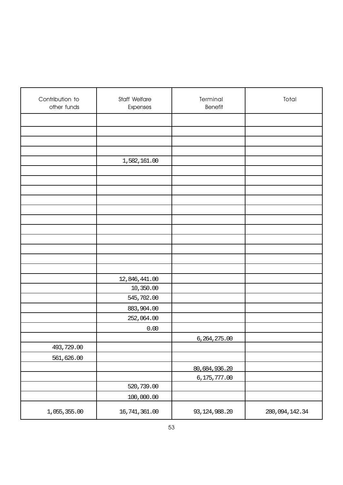| Contribution to<br>other funds | Staff Welfare<br>Expenses | Terminal<br><b>Benefit</b>      | Total          |
|--------------------------------|---------------------------|---------------------------------|----------------|
|                                |                           |                                 |                |
|                                |                           |                                 |                |
|                                |                           |                                 |                |
|                                |                           |                                 |                |
|                                | 1,582,161.00              |                                 |                |
|                                |                           |                                 |                |
|                                |                           |                                 |                |
|                                |                           |                                 |                |
|                                |                           |                                 |                |
|                                |                           |                                 |                |
|                                |                           |                                 |                |
|                                |                           |                                 |                |
|                                |                           |                                 |                |
|                                |                           |                                 |                |
|                                |                           |                                 |                |
|                                |                           |                                 |                |
|                                | 12,846,441.00             |                                 |                |
|                                | 10,350.00                 |                                 |                |
|                                | 545,702.00                |                                 |                |
|                                | 883,904.00                |                                 |                |
|                                | 252,064.00                |                                 |                |
|                                | 0.00                      |                                 |                |
| 493,729.00                     |                           | 6,264,275.00                    |                |
| 561,626.00                     |                           |                                 |                |
|                                |                           |                                 |                |
|                                |                           | 80,684,936.20<br>6, 175, 777.00 |                |
|                                | 520,739.00                |                                 |                |
|                                | 100,000.00                |                                 |                |
| 1,055,355.00                   | 16,741,361.00             | 93, 124, 988. 20                | 280,094,142.34 |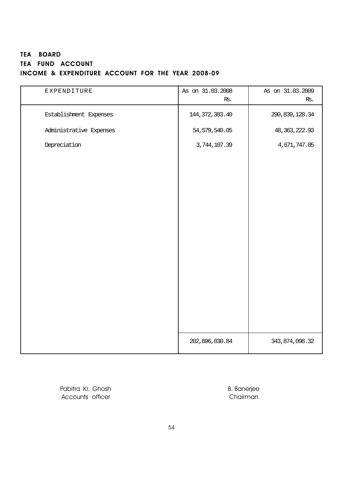### TEA BOARD TEA FUND ACCOUNT INCOME & EXPENDITURE ACCOUNT FOR THE YEAR 2008-09

| EXPENDITURE             | As on 31.03.2008<br>Rs. | As on 31.03.2009<br>Rs. |
|-------------------------|-------------------------|-------------------------|
| Establishment Expenses  | 144, 372, 383.40        | 290, 839, 128.34        |
| Administrative Expenses | 54, 579, 540.05         | 48, 363, 222.93         |
| Depreciation            | 3,744,107.39            | 4,671,747.05            |
|                         |                         |                         |
|                         |                         |                         |
|                         |                         |                         |
|                         |                         |                         |
|                         |                         |                         |
|                         |                         |                         |
|                         |                         |                         |
|                         |                         |                         |
|                         |                         |                         |
|                         |                         |                         |
|                         |                         |                         |
|                         |                         |                         |
|                         | 202,696,030.84          | 343, 874, 098.32        |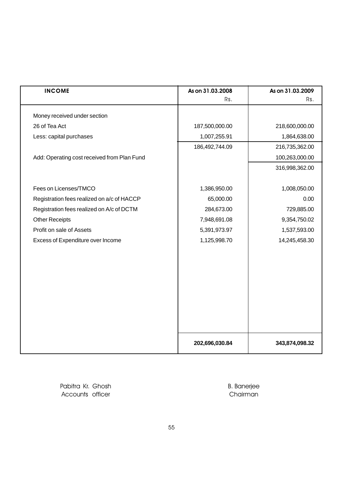| <b>INCOME</b>                               | As on 31.03.2008 | As on 31.03.2009 |
|---------------------------------------------|------------------|------------------|
|                                             | Rs.              | Rs.              |
| Money received under section                |                  |                  |
| 26 of Tea Act                               | 187,500,000.00   | 218,600,000.00   |
| Less: capital purchases                     | 1,007,255.91     | 1,864,638.00     |
|                                             | 186,492,744.09   | 216,735,362.00   |
| Add: Operating cost received from Plan Fund |                  | 100,263,000.00   |
|                                             |                  | 316,998,362.00   |
|                                             |                  |                  |
| Fees on Licenses/TMCO                       | 1,386,950.00     | 1,008,050.00     |
| Registration fees realized on a/c of HACCP  | 65,000.00        | 0.00             |
| Registration fees realized on A/c of DCTM   | 284,673.00       | 729,885.00       |
| <b>Other Receipts</b>                       | 7,948,691.08     | 9,354,750.02     |
| Profit on sale of Assets                    | 5,391,973.97     | 1,537,593.00     |
| Excess of Expenditure over Income           | 1,125,998.70     | 14,245,458.30    |
|                                             |                  |                  |
|                                             |                  |                  |
|                                             |                  |                  |
|                                             |                  |                  |
|                                             |                  |                  |
|                                             |                  |                  |
|                                             |                  |                  |
|                                             |                  |                  |
|                                             |                  |                  |
|                                             | 202,696,030.84   | 343,874,098.32   |
|                                             |                  |                  |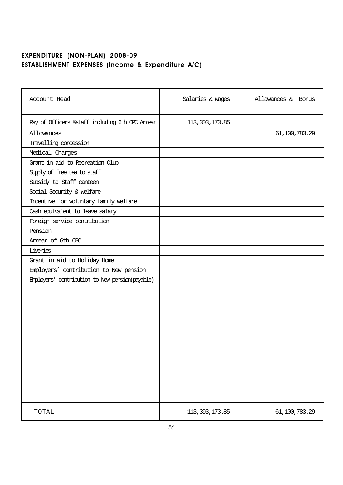# EXPENDITURE (NON-PLAN) 2008-09 ESTABLISHMENT EXPENSES (Income & Expenditure A/C)

| Account Head                                     | Salaries & wages | Allowances & Bonus |
|--------------------------------------------------|------------------|--------------------|
| Pay of Officers & staff including 6th CPC Arrear | 113, 303, 173.85 |                    |
| Allowances                                       |                  | 61,100,783.29      |
| Travelling concession                            |                  |                    |
| Medical Charges                                  |                  |                    |
| Grant in aid to Recreation Club                  |                  |                    |
| Supply of free tea to staff                      |                  |                    |
| Subsidy to Staff canteen                         |                  |                    |
| Social Security & welfare                        |                  |                    |
| Incentive for voluntary family welfare           |                  |                    |
| Cash equivalent to leave salary                  |                  |                    |
| Foreign service contribution                     |                  |                    |
| Pension                                          |                  |                    |
| Arrear of 6th CPC                                |                  |                    |
| Liveries                                         |                  |                    |
| Grant in aid to Holiday Home                     |                  |                    |
| Employers' contribution to New pension           |                  |                    |
| Employers' contribution to New pension(payable)  |                  |                    |
|                                                  |                  |                    |
| TOTAL                                            | 113, 303, 173.85 | 61,100,783.29      |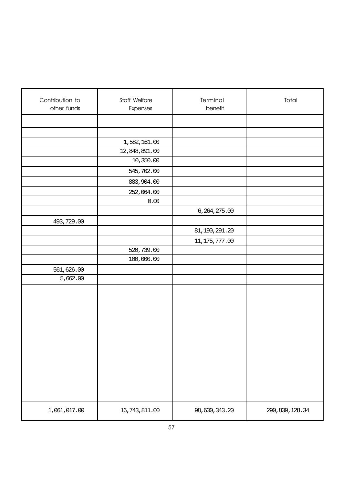| Contribution to<br>other funds | Staff Welfare<br>Expenses | Terminal<br>benefit | Total            |
|--------------------------------|---------------------------|---------------------|------------------|
|                                |                           |                     |                  |
|                                |                           |                     |                  |
|                                | 1,582,161.00              |                     |                  |
|                                | 12,848,891.00             |                     |                  |
|                                | 10,350.00                 |                     |                  |
|                                | 545,702.00                |                     |                  |
|                                | 883,904.00                |                     |                  |
|                                | 252,064.00                |                     |                  |
|                                | 0.00                      |                     |                  |
|                                |                           | 6,264,275.00        |                  |
| 493,729.00                     |                           |                     |                  |
|                                |                           | 81, 190, 291. 20    |                  |
|                                |                           | 11, 175, 777.00     |                  |
|                                | 520,739.00                |                     |                  |
|                                | 100,000.00                |                     |                  |
| 561,626.00                     |                           |                     |                  |
| 5,662.00                       |                           |                     |                  |
|                                |                           |                     |                  |
|                                |                           |                     |                  |
|                                |                           |                     |                  |
|                                |                           |                     |                  |
|                                |                           |                     |                  |
|                                |                           |                     |                  |
|                                |                           |                     |                  |
|                                |                           |                     |                  |
|                                |                           |                     |                  |
|                                |                           |                     |                  |
|                                |                           |                     |                  |
| 1,061,017.00                   | 16,743,811.00             | 98,630,343.20       | 290, 839, 128.34 |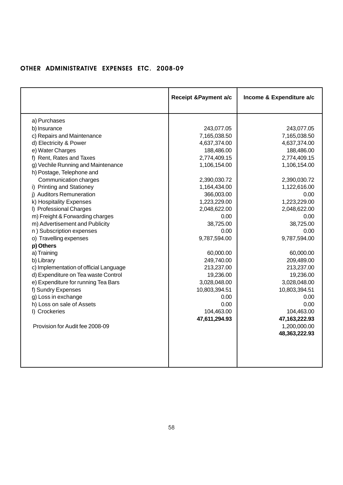## OTHER ADMINISTRATIVE EXPENSES ETC. 2008-09

|                                        | <b>Receipt &amp;Payment a/c</b> | Income & Expenditure a/c |
|----------------------------------------|---------------------------------|--------------------------|
|                                        |                                 |                          |
| a) Purchases                           |                                 |                          |
| b) Insurance                           | 243,077.05                      | 243,077.05               |
| c) Repairs and Maintenance             | 7,165,038.50                    | 7,165,038.50             |
| d) Electricity & Power                 | 4,637,374.00                    | 4,637,374.00             |
| e) Water Charges                       | 188,486.00                      | 188,486.00               |
| f) Rent, Rates and Taxes               | 2,774,409.15                    | 2,774,409.15             |
| g) Vechile Running and Maintenance     | 1,106,154.00                    | 1,106,154.00             |
| h) Postage, Telephone and              |                                 |                          |
| Communication charges                  | 2,390,030.72                    | 2,390,030.72             |
| i) Printing and Stationey              | 1,164,434.00                    | 1,122,616.00             |
| i) Auditors Remuneration               | 366,003.00                      | 0.00                     |
| k) Hospitality Expenses                | 1,223,229.00                    | 1,223,229.00             |
| I) Professional Charges                | 2,048,622.00                    | 2,048,622.00             |
| m) Freight & Forwarding charges        | 0.00                            | 0.00                     |
| m) Advertisement and Publicity         | 38,725.00                       | 38,725.00                |
| n) Subscription expenses               | 0.00                            | 0.00                     |
| o) Travelling expenses                 | 9,787,594.00                    | 9,787,594.00             |
| p) Others                              |                                 |                          |
| a) Training                            | 60,000.00                       | 60,000.00                |
| b) Library                             | 249,740.00                      | 209,489.00               |
| c) Implementation of official Language | 213,237.00                      | 213,237.00               |
| d) Expenditure on Tea waste Control    | 19,236.00                       | 19,236.00                |
| e) Expenditure for running Tea Bars    | 3,028,048.00                    | 3,028,048.00             |
| f) Sundry Expenses                     | 10,803,394.51                   | 10,803,394.51            |
| g) Loss in exchange                    | 0.00                            | 0.00                     |
| h) Loss on sale of Assets              | 0.00                            | 0.00                     |
| I) Crockeries                          | 104,463.00                      | 104,463.00               |
|                                        | 47,611,294.93                   | 47, 163, 222. 93         |
| Provision for Audit fee 2008-09        |                                 | 1,200,000.00             |
|                                        |                                 | 48,363,222.93            |
|                                        |                                 |                          |
|                                        |                                 |                          |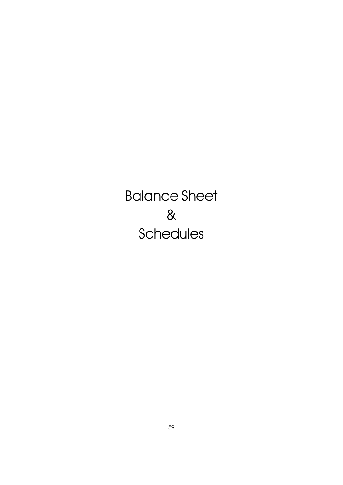Balance Sheet & **Schedules**